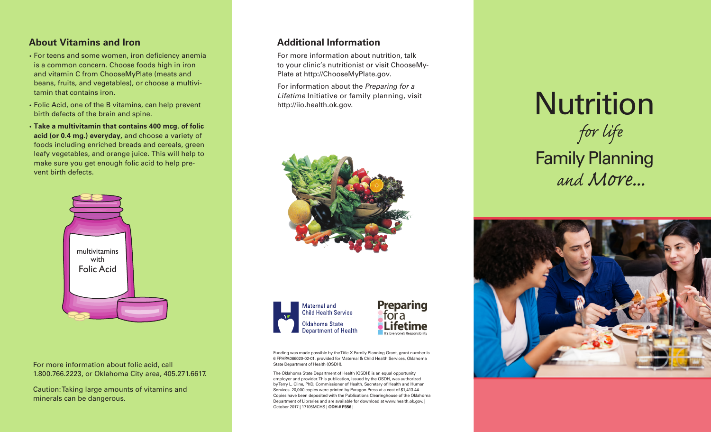#### **About Vitamins and Iron**

- · For teens and some women, iron deficiency anemia is a common concern. Choose foods high in iron and vitamin C from ChooseMyPlate (meats and beans, fruits, and vegetables), or choose a multivitamin that contains iron.
- · Folic Acid, one of the B vitamins, can help prevent birth defects of the brain and spine.
- · **Take a multivitamin that contains 400 mcg. of folic acid (or 0.4 mg.) everyday,** and choose a variety of foods including enriched breads and cereals, green leafy vegetables, and orange juice. This will help to make sure you get enough folic acid to help prevent birth defects.



For more information about folic acid, call 1.800.766.2223, or Oklahoma City area, 405.271.6617.

Caution: Taking large amounts of vitamins and minerals can be dangerous.

#### **Additional Information**

For more information about nutrition, talk to your clinic's nutritionist or visit ChooseMy-Plate at http://ChooseMyPlate.gov.

For information about the Preparing for a Lifetime Initiative or family planning, visit http://iio.health.ok.gov.







Funding was made possible by the Title X Family Planning Grant, grant number is 6 FPHPA066020-02-01, provided for Maternal & Child Health Services, Oklahoma State Department of Health (OSDH).

The Oklahoma State Department of Health (OSDH) is an equal opportunity employer and provider. This publication, issued by the OSDH, was authorized by Terry L. Cline, PhD, Commissioner of Health, Secretary of Health and Human Services. 20,000 copies were printed by Paragon Press at a cost of \$1,413.44. Copies have been deposited with the Publications Clearinghouse of the Oklahoma Department of Libraries and are available for download at www.health.ok.gov. | October 2017 | 17105MCHS | **ODH # P356** |

Nutrition Family Planning *for life and More...*